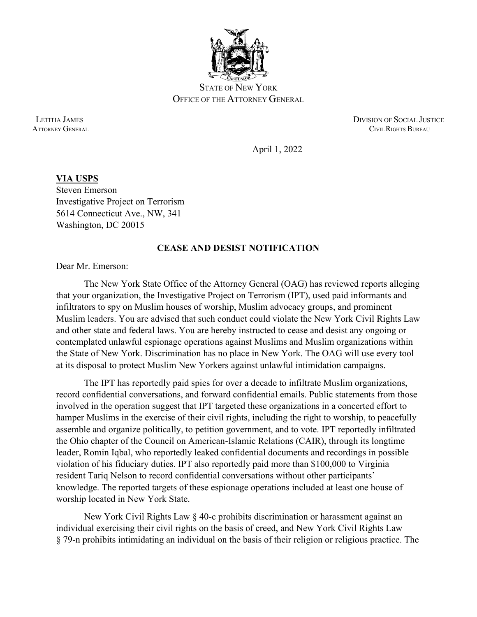

STATE OF NEW YORK OFFICE OF THE ATTORNEY GENERAL

 LETITIA JAMES DIVISION OF SOCIAL JUSTICE **ATTORNEY GENERAL CIVIL RIGHTS BUREAU** 

April 1, 2022

## **VIA USPS** Steven Emerson Investigative Project on Terrorism 5614 Connecticut Ave., NW, 341 Washington, DC 20015

## **CEASE AND DESIST NOTIFICATION**

Dear Mr. Emerson:

The New York State Office of the Attorney General (OAG) has reviewed reports alleging that your organization, the Investigative Project on Terrorism (IPT), used paid informants and infiltrators to spy on Muslim houses of worship, Muslim advocacy groups, and prominent Muslim leaders. You are advised that such conduct could violate the New York Civil Rights Law and other state and federal laws. You are hereby instructed to cease and desist any ongoing or contemplated unlawful espionage operations against Muslims and Muslim organizations within the State of New York. Discrimination has no place in New York. The OAG will use every tool at its disposal to protect Muslim New Yorkers against unlawful intimidation campaigns.

The IPT has reportedly paid spies for over a decade to infiltrate Muslim organizations, record confidential conversations, and forward confidential emails. Public statements from those involved in the operation suggest that IPT targeted these organizations in a concerted effort to hamper Muslims in the exercise of their civil rights, including the right to worship, to peacefully assemble and organize politically, to petition government, and to vote. IPT reportedly infiltrated the Ohio chapter of the Council on American-Islamic Relations (CAIR), through its longtime leader, Romin Iqbal, who reportedly leaked confidential documents and recordings in possible violation of his fiduciary duties. IPT also reportedly paid more than \$100,000 to Virginia resident Tariq Nelson to record confidential conversations without other participants' knowledge. The reported targets of these espionage operations included at least one house of worship located in New York State.

New York Civil Rights Law § 40-c prohibits discrimination or harassment against an individual exercising their civil rights on the basis of creed, and New York Civil Rights Law § 79-n prohibits intimidating an individual on the basis of their religion or religious practice. The